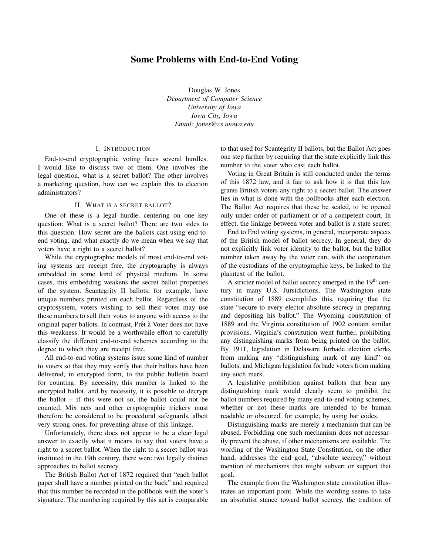## Some Problems with End-to-End Voting

Douglas W. Jones *Department of Computer Science University of Iowa Iowa City, Iowa Email: jones@cs.uiowa.edu*

## I. INTRODUCTION

End-to-end cryptographic voting faces several hurdles. I would like to discuss two of them. One involves the legal question, what is a secret ballot? The other involves a marketing question, how can we explain this to election administrators?

## II. WHAT IS A SECRET BALLOT?

One of these is a legal hurdle, centering on one key question: What is a secret ballot? There are two sides to this question: How secret are the ballots cast using end-toend voting, and what exactly do we mean when we say that voters have a right to a secret ballot?

While the cryptographic models of most end-to-end voting systems are receipt free, the cryptography is always embedded in some kind of physical medium. In some cases, this embedding weakens the secret ballot properties of the system. Scantegrity II ballots, for example, have unique numbers printed on each ballot. Regardless of the cryptosystem, voters wishing to sell their votes may use these numbers to sell their votes to anyone with access to the original paper ballots. In contrast, Prêt à Voter does not have this weakness. It would be a worthwhile effort to carefully classify the different end-to-end schemes according to the degree to which they are receipt free.

All end-to-end voting systems issue some kind of number to voters so that they may verify that their ballots have been delivered, in encrypted form, to the public bulletin board for counting. By necessity, this number is linked to the encrypted ballot, and by necessity, it is possible to decrypt the ballot – if this were not so, the ballot could not be counted. Mix nets and other cryptographic trickery must therefore be considered to be procedural safeguards, albeit very strong ones, for preventing abuse of this linkage.

Unfortunately, there does not appear to be a clear legal answer to exactly what it means to say that voters have a right to a secret ballot. When the right to a secret ballot was instituted in the 19th century, there were two legally distinct approaches to ballot secrecy.

The British Ballot Act of 1872 required that "each ballot paper shall have a number printed on the back" and required that this number be recorded in the pollbook with the voter's signature. The numbering required by this act is comparable to that used for Scantegrity II ballots, but the Ballot Act goes one step farther by requiring that the state explicitly link this number to the voter who cast each ballot.

Voting in Great Britain is still conducted under the terms of this 1872 law, and it fair to ask how it is that this law grants British voters any right to a secret ballot. The answer lies in what is done with the pollbooks after each election. The Ballot Act requires that these be sealed, to be opened only under order of parliament or of a competent court. In effect, the linkage between voter and ballot is a state secret.

End to End voting systems, in general, incorporate aspects of the British model of ballot secrecy. In general, they do not explicitly link voter identity to the ballot, but the ballot number taken away by the voter can, with the cooperation of the custodians of the cryptographic keys, be linked to the plaintext of the ballot.

A stricter model of ballot secrecy emerged in the 19<sup>th</sup> century in many U.S. Jursidictions. The Washington state constitution of 1889 exemplifies this, requiring that the state "secure to every elector absolute secrecy in preparing and depositing his ballot." The Wyoming constitution of 1889 and the Virginia constitution of 1902 contain similar provisions. Virginia's constitution went further, prohibiting any distinguishing marks from being printed on the ballot. By 1911, legislation in Delaware forbade election clerks from making any "distinguishing mark of any kind" on ballots, and Michigan legislation forbade voters from making any such mark.

A legislative prohibition against ballots that bear any distinguishing mark would clearly seem to prohibit the ballot numbers required by many end-to-end voting schemes, whether or not these marks are intended to be human readable or obscured, for example, by using bar codes.

Distinguishing marks are merely a mechanism that can be abused. Forbidding one such mechanism does not necessarily prevent the abuse, if other mechanisms are available. The wording of the Washington State Constitution, on the other hand, addresses the end goal, "absolute secrecy," without mention of mechanisms that might subvert or support that goal.

The example from the Washington state constitution illustrates an important point. While the wording seems to take an absolutist stance toward ballot secrecy, the tradition of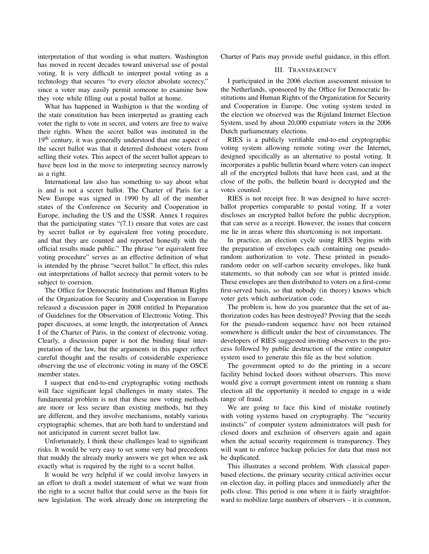interpretation of that wording is what matters. Washington has moved in recent decades toward universal use of postal voting. It is very difficult to interpret postal voting as a technology that secures "to every elector absolute secrecy," since a voter may easily permit someone to examine how they vote while filling out a postal ballot at home.

What has happened in Washigton is that the wording of the state constitution has been interpreted as granting each voter the right to vote in secret, and voters are free to waive their rights. When the secret ballot was instituted in the 19<sup>th</sup> century, it was generally understood that one aspect of the secret ballot was that it deterred dishonest voters from selling their votes. This aspect of the secret ballot appears to have been lost in the move to interpreting secrecy narrowly as a right.

International law also has something to say about what is and is not a secret ballot. The Charter of Paris for a New Europe was signed in 1990 by all of the member states of the Conference on Security and Cooperation in Europe, including the US and the USSR. Annex I requires that the participating states  $(7.1)$  ensure that votes are cast by secret ballot or by equivalent free voting procedure, and that they are counted and reported honestly with the official results made public." The phrase "or equivalent free voting procedure" serves as an effective definition of what is intended by the phrase "secret ballot." In effect, this rules out interpretations of ballot secrecy that permit voters to be subject to coersion.

The Office for Democratic Institutions and Human Rights of the Organization for Security and Cooperation in Europe released a discussion paper in 2008 entitled In Preparation of Guidelines for the Observation of Electronic Voting. This paper discusses, at some length, the interpretation of Annex I of the Charter of Paris, in the context of electronic voting. Clearly, a discussion paper is not the binding final interpretation of the law, but the arguments in this paper reflect careful thought and the results of considerable experience observing the use of electronic voting in many of the OSCE member states.

I suspect that end-to-end cryptographic voting methods will face significant legal challenges in many states. The fundamental problem is not that these new voting methods are more or less secure than existing methods, but they are different, and they involve mechanisms, notably various cryptographic schemes, that are both hard to understand and not anticipated in current secret ballot law.

Unfortunately, I think these challenges lead to significant risks. It would be very easy to set some very bad precedents that muddy the already murky answers we get when we ask exactly what is required by the right to a secret ballot.

It would be very helpful if we could involve lawyers in an effort to draft a model statement of what we want from the right to a secret ballot that could serve as the basis for new legislation. The work already done on interpreting the Charter of Paris may provide useful guidance, in this effort.

## III. TRANSPARENCY

I participated in the 2006 election assessment mission to the Netherlands, sponsored by the Office for Democratic Institutions and Human Rights of the Organization for Security and Cooperation in Europe. One voting system tested in the election we observed was the Rijnland Internet Election System, used by about 20,000 expatriate voters in the 2006 Dutch parliamentary elections.

RIES is a publicly verifiable end-to-end cryptographic voting system allowing remote voting over the Internet, designed specifically as an alternative to postal voting. It incorporates a public bulletin board where voters can inspect all of the encrypted ballots that have been cast, and at the close of the polls, the bulletin board is decrypted and the votes counted.

RIES is not receipt free. It was designed to have secretballot properties comparable to postal voting. If a voter discloses an encrypted ballot before the public decryption, that can serve as a receipt. However, the issues that concern me lie in areas where this shortcoming is not important.

In practice, an election cycle using RIES begins with the preparation of envelopes each containing one pseudorandom authorization to vote. These printed in pseudorandom order on self-carbon security envelopes, like bank statements, so that nobody can see what is printed inside. These envelopes are then distributed to voters on a first-come first-served basis, so that nobody (in theory) knows which voter gets which authorization code.

The problem is, how do you guarantee that the set of authorization codes has been destroyed? Proving that the seeds for the pseudo-random sequence have not been retained somewhere is difficult under the best of circumstances. The developers of RIES suggested inviting observers to the process followed by public destruction of the entire computer system used to generate this file as the best solution.

The government opted to do the printing in a secure facility behind locked doors without observers. This move would give a corrupt government intent on running a sham election all the opportunity it needed to engage in a wide range of fraud.

We are going to face this kind of mistake routinely with voting systems based on cryptography. The "security instincts" of computer system administrators will push for closed doors and exclusion of observers again and again when the actual security requirement is transparency. They will want to enforce backup policies for data that must not be duplicated.

This illustrates a second problem. With classical paperbased elections, the primary security critical activities occur on election day, in polling places and immediately after the polls close. This period is one where it is fairly straightforward to mobilize large numbers of observers – it is common,